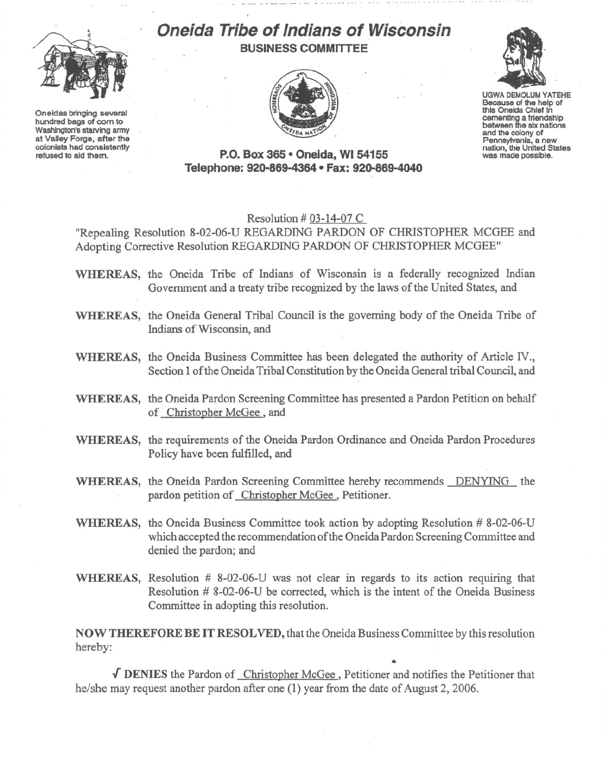

Oneidas bringing several hundred bags of com to Washington's starving army at Valley Forge, after the refused to aid them.

## **Oneida Tribe of Indians of Wisconsin BUSINESS COMMITTEE**





UGWA DEMOLUM YATEHE Because of the help of this Oneida Chief in comenting a friendship<br>between the six nations and the colony of<br>Pennsylvania, a new nation, the United States<br>was made possible.

**P.O. Box 365· Oneida,** WI 54155 Tele~)hone:**920-869-4364 • Fax: 920-869-4040**

## Resolution # 03-14-07 C

"Repealing Resolution 8-02-06-U REGARDING PARDON OF CHRISTOPHER MCGEE and Adopting Corrective Resolution REGARDING PARDON OF CHRISTOPHER MCGEE"

- **WHEREAS,** the Oneida Tribe of Indians of Wisconsin is a federally recognized Indian Government and a treaty tribe recognized by the laws of the United States, and
- **WHEREAS,** the Oneida General Tribal Council is the governing body of the Oneida Tribe of Indians of Wisconsin, and
- **WHEREAS,** the Oneida Business Committee has been delegated the authority of Article *N.,* Section 1of the Oneida Tribal Constitution by the Oneida General tribal Council, and
- **WHEREAS,** the Oneida Pardon Screening Committee has presented a Pardon Petition on behalf of Christopher McGee, and
- **WHEREAS,** the requirements of the Oneida Pardon Ordinance and Oneida Pardon Procedures Policy have been fulfilled, and
- WHEREAS, the Oneida Pardon Screening Committee hereby recommends DENYING the pardon petition of Christopher McGee, Petitioner.
- **WHEREAS,** the Oneida Business Committee took action by adopting Resolution # 8-02-06-U which accepted the recommendation ofthe Oneida Pardon Screening Committee and denied the pardon; and
- **WHEREAS,** Resolution # 8-02-06-U was not clear in regards to its action requiring that Resolution # 8-02-06-U be corrected, which is the intent of the Oneida Business Committee in adopting this resolution.

**NOW THEREFORE BE IT RESOLVED,** that the Oneida Business Committee by this resolution hereby:

**.[ DENIES** the Pardon of Christopher McGee, Petitioner and notifies the Petitioner that he/she may request another pardon after one (1) year from the date of August 2,2006.